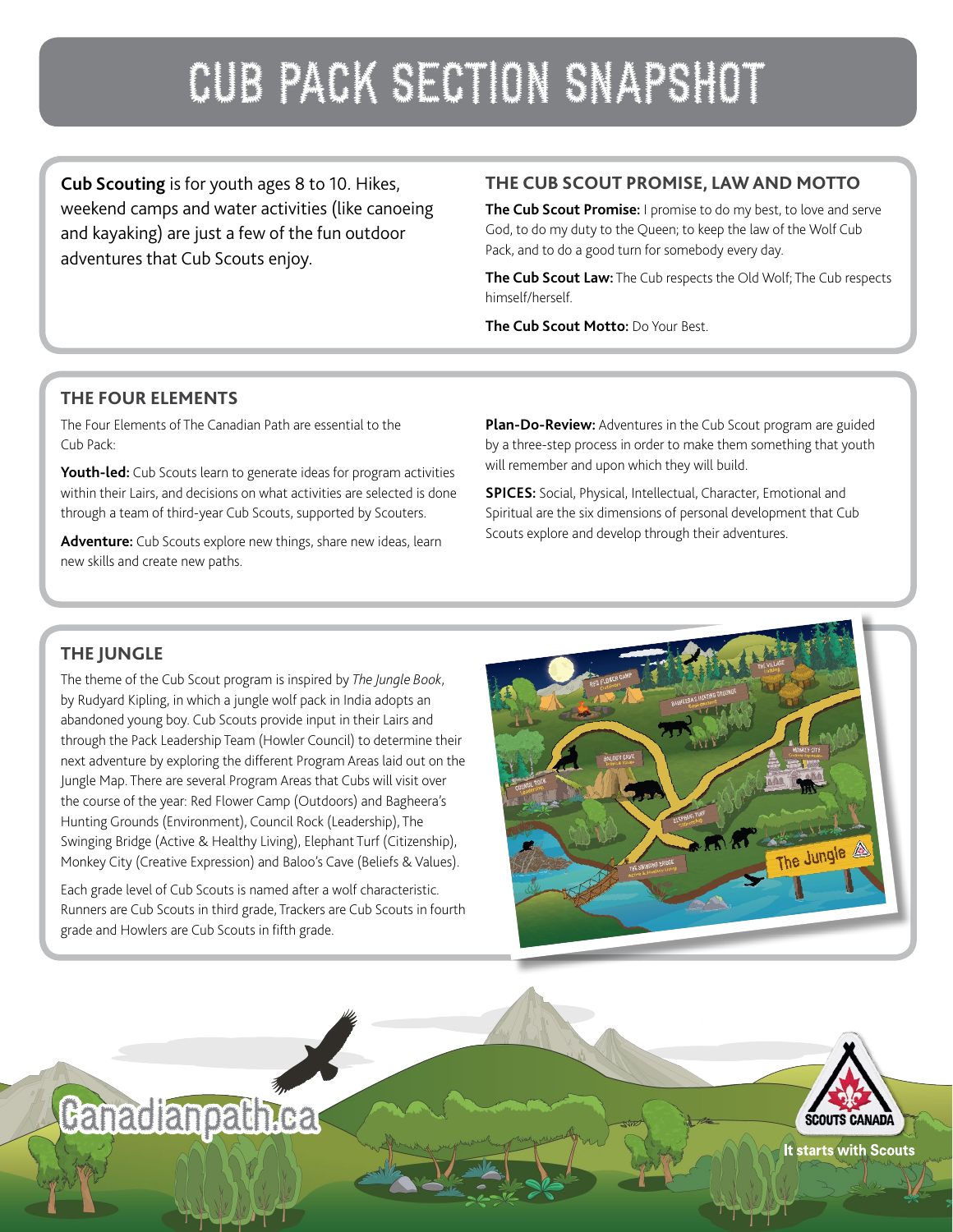# CUB PACK SECTION SNAPSHOT

**Cub Scouting** is for youth ages 8 to 10. Hikes, weekend camps and water activities (like canoeing and kayaking) are just a few of the fun outdoor adventures that Cub Scouts enjoy.

#### **THE CUB SCOUT PROMISE, LAW AND MOTTO**

**The Cub Scout Promise:** I promise to do my best, to love and serve God, to do my duty to the Queen; to keep the law of the Wolf Cub Pack, and to do a good turn for somebody every day.

**The Cub Scout Law:** The Cub respects the Old Wolf; The Cub respects himself/herself.

**The Cub Scout Motto:** Do Your Best.

#### **THE FOUR ELEMENTS**

The Four Elements of The Canadian Path are essential to the Cub Pack:

**Youth-led:** Cub Scouts learn to generate ideas for program activities within their Lairs, and decisions on what activities are selected is done through a team of third-year Cub Scouts, supported by Scouters.

**Adventure:** Cub Scouts explore new things, share new ideas, learn new skills and create new paths.

**Plan-Do-Review:** Adventures in the Cub Scout program are guided by a three-step process in order to make them something that youth will remember and upon which they will build.

**SPICES:** Social, Physical, Intellectual, Character, Emotional and Spiritual are the six dimensions of personal development that Cub Scouts explore and develop through their adventures.

### **THE JUNGLE**

The theme of the Cub Scout program is inspired by *The Jungle Book*, by Rudyard Kipling, in which a jungle wolf pack in India adopts an abandoned young boy. Cub Scouts provide input in their Lairs and through the Pack Leadership Team (Howler Council) to determine their next adventure by exploring the different Program Areas laid out on the Jungle Map. There are several Program Areas that Cubs will visit over the course of the year: Red Flower Camp (Outdoors) and Bagheera's Hunting Grounds (Environment), Council Rock (Leadership), The Swinging Bridge (Active & Healthy Living), Elephant Turf (Citizenship), Monkey City (Creative Expression) and Baloo's Cave (Beliefs & Values).

Each grade level of Cub Scouts is named after a wolf characteristic. Runners are Cub Scouts in third grade, Trackers are Cub Scouts in fourth grade and Howlers are Cub Scouts in fifth grade.